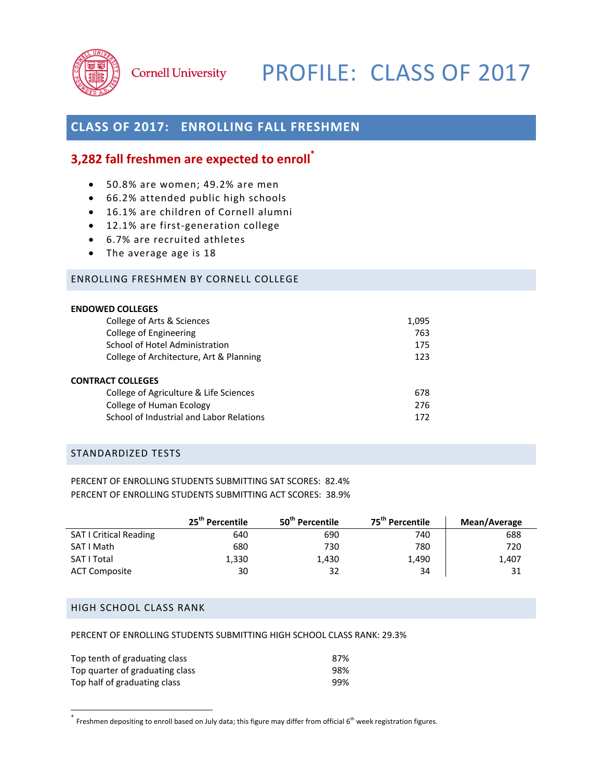

# Cornell University PROFILE: CLASS OF 2017

# **CLASS OF 2017: ENROLLING FALL FRESHMEN**

## **3,282 fall freshmen are expected to enroll\***

- 50.8% are women; 49.2% are men
- 66.2% attended public high schools
- 16.1% are children of Cornell alumni
- 12.1% are first-generation college
- 6.7% are recruited athletes
- The average age is 18

### ENROLLING FRESHMEN BY CORNELL COLLEGE

| <b>ENDOWED COLLEGES</b>                  |       |
|------------------------------------------|-------|
| College of Arts & Sciences               | 1,095 |
| College of Engineering                   | 763   |
| School of Hotel Administration           | 175   |
| College of Architecture, Art & Planning  | 123   |
| <b>CONTRACT COLLEGES</b>                 |       |
| College of Agriculture & Life Sciences   | 678   |
| College of Human Ecology                 | 276   |
| School of Industrial and Labor Relations | 172   |

#### STANDARDIZED TESTS

PERCENT OF ENROLLING STUDENTS SUBMITTING SAT SCORES: 82.4% PERCENT OF ENROLLING STUDENTS SUBMITTING ACT SCORES: 38.9%

|                               | 25 <sup>th</sup> Percentile | 50 <sup>th</sup> Percentile | 75 <sup>th</sup> Percentile | Mean/Average |
|-------------------------------|-----------------------------|-----------------------------|-----------------------------|--------------|
| <b>SAT I Critical Reading</b> | 640                         | 690                         | 740                         | 688          |
| SAT I Math                    | 680                         | 730                         | 780                         | 720          |
| SAT I Total                   | 1,330                       | 1,430                       | 1,490                       | 1,407        |
| <b>ACT Composite</b>          | 30                          | 32                          | 34                          | 31           |

## HIGH SCHOOL CLASS RANK

PERCENT OF ENROLLING STUDENTS SUBMITTING HIGH SCHOOL CLASS RANK: 29.3%

| Top tenth of graduating class   | 87% |
|---------------------------------|-----|
| Top quarter of graduating class | 98% |
| Top half of graduating class    | 99% |

 \* Freshmen depositing to enroll based on July data; this figure may differ from official <sup>6</sup> th week registration figures.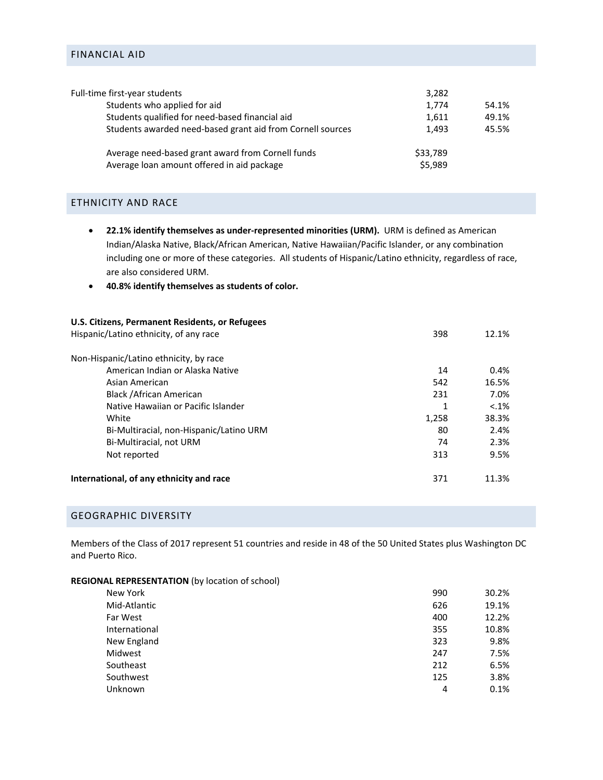## FINANCIAL AID

| Full-time first-year students                                                                   | 3,282               |       |
|-------------------------------------------------------------------------------------------------|---------------------|-------|
| Students who applied for aid                                                                    | 1,774               | 54.1% |
| Students qualified for need-based financial aid                                                 | 1,611               | 49.1% |
| Students awarded need-based grant aid from Cornell sources                                      | 1.493               | 45.5% |
| Average need-based grant award from Cornell funds<br>Average loan amount offered in aid package | \$33,789<br>\$5,989 |       |
|                                                                                                 |                     |       |

#### ETHNICITY AND RACE

- **22.1% identify themselves as under‐represented minorities (URM).** URM is defined as American Indian/Alaska Native, Black/African American, Native Hawaiian/Pacific Islander, or any combination including one or more of these categories. All students of Hispanic/Latino ethnicity, regardless of race, are also considered URM.
- **40.8% identify themselves as students of color.**

| U.S. Citizens, Permanent Residents, or Refugees |       |          |
|-------------------------------------------------|-------|----------|
| Hispanic/Latino ethnicity, of any race          | 398   | 12.1%    |
| Non-Hispanic/Latino ethnicity, by race          |       |          |
| American Indian or Alaska Native                | 14    | 0.4%     |
| Asian American                                  | 542   | 16.5%    |
| Black / African American                        | 231   | 7.0%     |
| Native Hawaiian or Pacific Islander             | 1     | $< .1\%$ |
| White                                           | 1,258 | 38.3%    |
| Bi-Multiracial, non-Hispanic/Latino URM         | 80    | 2.4%     |
| Bi-Multiracial, not URM                         | 74    | 2.3%     |
| Not reported                                    | 313   | 9.5%     |
| International, of any ethnicity and race        | 371   | 11.3%    |

#### GEOGRAPHIC DIVERSITY

Members of the Class of 2017 represent 51 countries and reside in 48 of the 50 United States plus Washington DC and Puerto Rico.

|  |  |  | REGIONAL REPRESENTATION (by location of school) |  |
|--|--|--|-------------------------------------------------|--|
|--|--|--|-------------------------------------------------|--|

| New York      | 990 | 30.2% |
|---------------|-----|-------|
| Mid-Atlantic  | 626 | 19.1% |
| Far West      | 400 | 12.2% |
| International | 355 | 10.8% |
| New England   | 323 | 9.8%  |
| Midwest       | 247 | 7.5%  |
| Southeast     | 212 | 6.5%  |
| Southwest     | 125 | 3.8%  |
| Unknown       | 4   | 0.1%  |